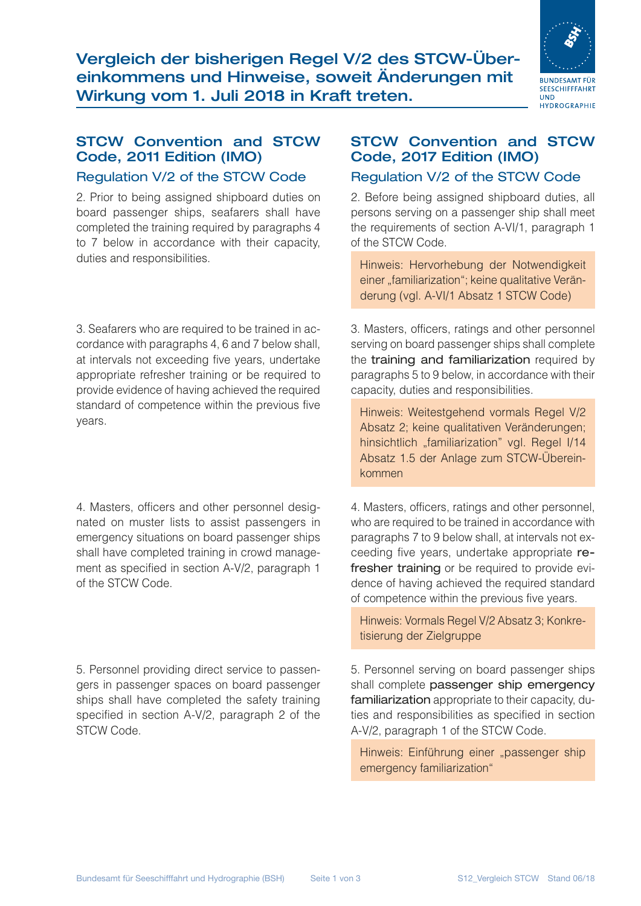Vergleich der bisherigen Regel V/2 des STCW-Übereinkommens und Hinweise, soweit Änderungen mit Wirkung vom 1. Juli 2018 in Kraft treten.



### STCW Convention and STCW Code, 2011 Edition (IMO)

#### Regulation V/2 of the STCW Code

2. Prior to being assigned shipboard duties on board passenger ships, seafarers shall have completed the training required by paragraphs 4 to 7 below in accordance with their capacity, duties and responsibilities.

3. Seafarers who are required to be trained in accordance with paragraphs 4, 6 and 7 below shall, at intervals not exceeding five years, undertake appropriate refresher training or be required to provide evidence of having achieved the required standard of competence within the previous five years.

4. Masters, officers and other personnel designated on muster lists to assist passengers in emergency situations on board passenger ships shall have completed training in crowd management as specified in section A-V/2, paragraph 1 of the STCW Code.

5. Personnel providing direct service to passengers in passenger spaces on board passenger ships shall have completed the safety training specified in section A-V/2, paragraph 2 of the STCW Code.

## STCW Convention and STCW Code, 2017 Edition (IMO)

### Regulation V/2 of the STCW Code

2. Before being assigned shipboard duties, all persons serving on a passenger ship shall meet the requirements of section A-VI/1, paragraph 1 of the STCW Code.

Hinweis: Hervorhebung der Notwendigkeit einer "familiarization"; keine qualitative Veränderung (vgl. A-VI/1 Absatz 1 STCW Code)

3. Masters, officers, ratings and other personnel serving on board passenger ships shall complete the training and familiarization required by paragraphs 5 to 9 below, in accordance with their capacity, duties and responsibilities.

Hinweis: Weitestgehend vormals Regel V/2 Absatz 2; keine qualitativen Veränderungen; hinsichtlich "familiarization" vgl. Regel I/14 Absatz 1.5 der Anlage zum STCW-Übereinkommen

4. Masters, officers, ratings and other personnel, who are required to be trained in accordance with paragraphs 7 to 9 below shall, at intervals not exceeding five years, undertake appropriate refresher training or be required to provide evidence of having achieved the required standard of competence within the previous five years.

Hinweis: Vormals Regel V/2 Absatz 3; Konkretisierung der Zielgruppe

5. Personnel serving on board passenger ships shall complete passenger ship emergency familiarization appropriate to their capacity, duties and responsibilities as specified in section A-V/2, paragraph 1 of the STCW Code.

Hinweis: Einführung einer "passenger ship emergency familiarization"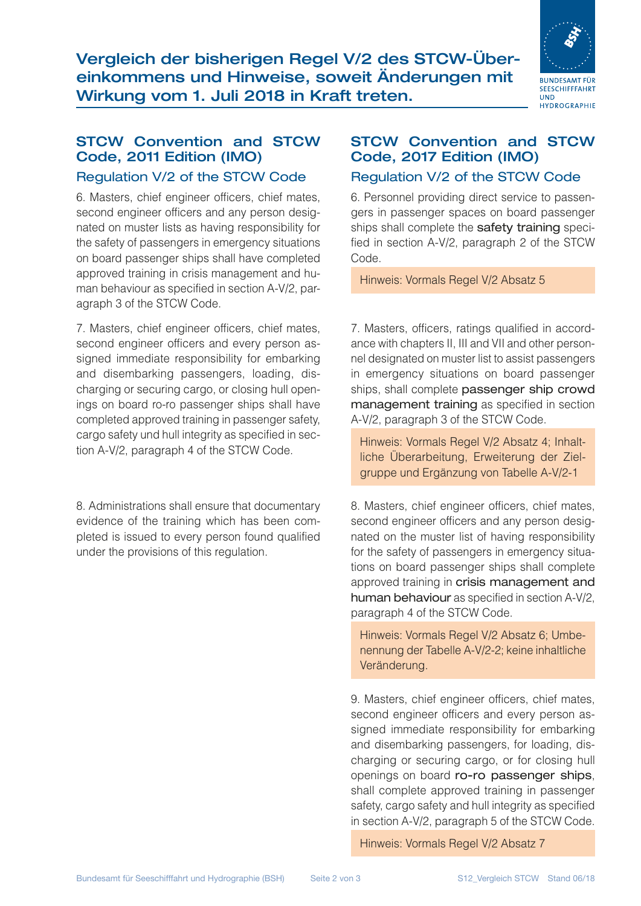Vergleich der bisherigen Regel V/2 des STCW-Übereinkommens und Hinweise, soweit Änderungen mit Wirkung vom 1. Juli 2018 in Kraft treten.



### STCW Convention and STCW Code, 2011 Edition (IMO)

#### Regulation V/2 of the STCW Code

6. Masters, chief engineer officers, chief mates, second engineer officers and any person designated on muster lists as having responsibility for the safety of passengers in emergency situations on board passenger ships shall have completed approved training in crisis management and human behaviour as specified in section A-V/2, paragraph 3 of the STCW Code.

7. Masters, chief engineer officers, chief mates, second engineer officers and every person assigned immediate responsibility for embarking and disembarking passengers, loading, discharging or securing cargo, or closing hull openings on board ro-ro passenger ships shall have completed approved training in passenger safety, cargo safety und hull integrity as specified in section A-V/2, paragraph 4 of the STCW Code.

8. Administrations shall ensure that documentary evidence of the training which has been completed is issued to every person found qualified under the provisions of this regulation.

# STCW Convention and STCW Code, 2017 Edition (IMO)

### Regulation V/2 of the STCW Code

6. Personnel providing direct service to passengers in passenger spaces on board passenger ships shall complete the safety training specified in section A-V/2, paragraph 2 of the STCW Code.

Hinweis: Vormals Regel V/2 Absatz 5

7. Masters, officers, ratings qualified in accordance with chapters II, III and VII and other personnel designated on muster list to assist passengers in emergency situations on board passenger ships, shall complete passenger ship crowd management training as specified in section A-V/2, paragraph 3 of the STCW Code.

Hinweis: Vormals Regel V/2 Absatz 4; Inhaltliche Überarbeitung, Erweiterung der Zielgruppe und Ergänzung von Tabelle A-V/2-1

8. Masters, chief engineer officers, chief mates, second engineer officers and any person designated on the muster list of having responsibility for the safety of passengers in emergency situations on board passenger ships shall complete approved training in crisis management and human behaviour as specified in section A-V/2, paragraph 4 of the STCW Code.

Hinweis: Vormals Regel V/2 Absatz 6; Umbenennung der Tabelle A-V/2-2; keine inhaltliche Veränderung.

9. Masters, chief engineer officers, chief mates, second engineer officers and every person assigned immediate responsibility for embarking and disembarking passengers, for loading, discharging or securing cargo, or for closing hull openings on board ro-ro passenger ships, shall complete approved training in passenger safety, cargo safety and hull integrity as specified in section A-V/2, paragraph 5 of the STCW Code.

Hinweis: Vormals Regel V/2 Absatz 7